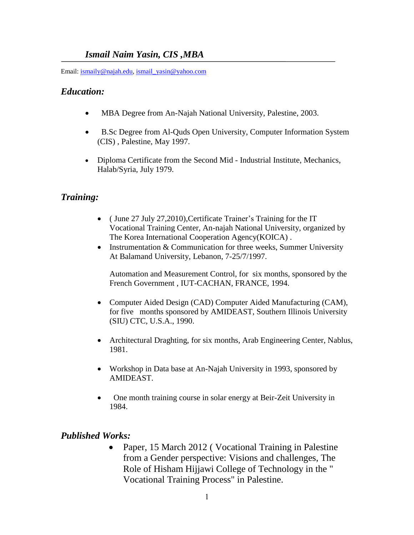## *Ismail Naim Yasin, CIS ,MBA*

Email: [ismaily@najah.edu,](mailto:ismaily@najah.edu) [ismail\\_yasin@yahoo.com](mailto:ismail_yasin@yahoo.com)

### *Education:*

- MBA Degree from An-Najah National University, Palestine, 2003.
- B.Sc Degree from Al-Quds Open University, Computer Information System (CIS) , Palestine, May 1997.
- Diploma Certificate from the Second Mid Industrial Institute, Mechanics, Halab/Syria, July 1979.

# *Training:*

- ( June 27 July 27,2010),Certificate Trainer's Training for the IT Vocational Training Center, An-najah National University, organized by The Korea International Cooperation Agency(KOICA) .
- Instrumentation  $&$  Communication for three weeks, Summer University At Balamand University, Lebanon, 7-25/7/1997.

Automation and Measurement Control, for six months, sponsored by the French Government , IUT-CACHAN, FRANCE, 1994.

- Computer Aided Design (CAD) Computer Aided Manufacturing (CAM), for five months sponsored by AMIDEAST, Southern Illinois University (SIU) CTC, U.S.A., 1990.
- Architectural Draghting, for six months, Arab Engineering Center, Nablus, 1981.
- Workshop in Data base at An-Najah University in 1993, sponsored by AMIDEAST.
- One month training course in solar energy at Beir-Zeit University in 1984.

# *Published Works:*

 Paper, 15 March 2012 ( Vocational Training in Palestine from a Gender perspective: Visions and challenges, The Role of Hisham Hijjawi College of Technology in the " Vocational Training Process" in Palestine.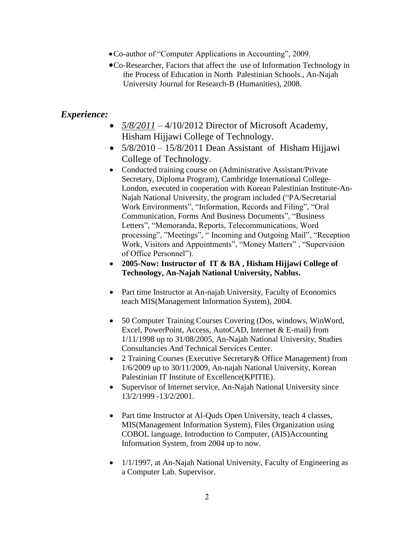- Co-author of "Computer Applications in Accounting", 2009.
- Co-Researcher, Factors that affect the use of Information Technology in the Process of Education in North Palestinian Schools., An-Najah University Journal for Research-B (Humanities), 2008.

### *Experience:*

- *5/8/2011* 4/10/2012 Director of Microsoft Academy, Hisham Hijjawi College of Technology.
- $\bullet$  5/8/2010 15/8/2011 Dean Assistant of Hisham Hijjawi College of Technology.
- Conducted training course on (Administrative Assistant/Private Secretary, Diploma Program), Cambridge International College-London, executed in cooperation with Korean Palestinian Institute-An-Najah National University, the program included ("PA/Secretarial Work Environments", "Information, Records and Filing", "Oral Communication, Forms And Business Documents", "Business Letters", "Memoranda, Reports, Telecommunications, Word processing", "Meetings", " Incoming and Outgoing Mail", "Reception Work, Visitors and Appointments", "Money Matters" , "Supervision of Office Personnel").
- **2005-Now: Instructor of IT & BA , Hisham Hijjawi College of Technology, An-Najah National University, Nablus.**
- Part time Instructor at An-najah University, Faculty of Economics teach MIS(Management Information System), 2004.
- 50 Computer Training Courses Covering (Dos, windows, WinWord, Excel, PowerPoint, Access, AutoCAD, Internet & E-mail) from 1/11/1998 up to 31/08/2005, An-Najah National University, Studies Consultancies And Technical Services Center.
- 2 Training Courses (Executive Secretary& Office Management) from 1/6/2009 up to 30/11/2009, An-najah National University, Korean Palestinian IT Institute of Excellence(KPITIE).
- Supervisor of Internet service, An-Najah National University since 13/2/1999 -13/2/2001.
- Part time Instructor at Al-Quds Open University, teach 4 classes, MIS(Management Information System), Files Organization using COBOL language, Introduction to Computer, (AIS)Accounting Information System, from 2004 up to now.
- 1/1/1997, at An-Najah National University, Faculty of Engineering as a Computer Lab. Supervisor.